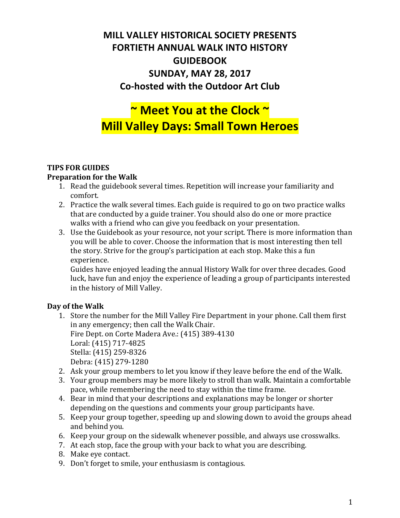# **MILL VALLEY HISTORICAL SOCIETY PRESENTS FORTIETH ANNUAL WALK INTO HISTORY GUIDEBOOK SUNDAY, MAY 28, 2017 Co-hosted with the Outdoor Art Club**

# **7 Meet You at the Clock ~ Mill Valley Days: Small Town Heroes**

#### **TIPS FOR GUIDES**

#### **Preparation for the Walk**

- 1. Read the guidebook several times. Repetition will increase your familiarity and comfort.
- 2. Practice the walk several times. Each guide is required to go on two practice walks that are conducted by a guide trainer. You should also do one or more practice walks with a friend who can give you feedback on your presentation.
- 3. Use the Guidebook as your resource, not your script. There is more information than you will be able to cover. Choose the information that is most interesting then tell the story. Strive for the group's participation at each stop. Make this a fun experience.

Guides have enjoyed leading the annual History Walk for over three decades. Good luck, have fun and enjoy the experience of leading a group of participants interested in the history of Mill Valley.

#### Day of the Walk

- 1. Store the number for the Mill Valley Fire Department in your phone. Call them first in any emergency; then call the Walk Chair. Fire Dept. on Corte Madera Ave.: (415) 389-4130 Loral: (415) 717-4825 Stella: (415) 259-8326 Debra: (415) 279-1280
- 2. Ask your group members to let you know if they leave before the end of the Walk.
- 3. Your group members may be more likely to stroll than walk. Maintain a comfortable pace, while remembering the need to stay within the time frame.
- 4. Bear in mind that your descriptions and explanations may be longer or shorter depending on the questions and comments your group participants have.
- 5. Keep your group together, speeding up and slowing down to avoid the groups ahead and behind you.
- 6. Keep your group on the sidewalk whenever possible, and always use crosswalks.
- 7. At each stop, face the group with your back to what you are describing.
- 8. Make eve contact.
- 9. Don't forget to smile, your enthusiasm is contagious.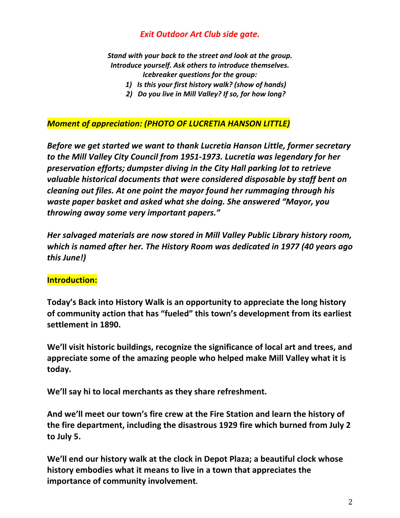### *Exit Outdoor Art Club side gate.*

*Stand with your back to the street and look at the group.* Introduce yourself. Ask others to introduce themselves. *Icebreaker questions for the group:* 

- 1) Is this your first history walk? (show of hands)
- 2) Do you live in Mill Valley? If so, for how long?

#### **Moment of appreciation: (PHOTO OF LUCRETIA HANSON LITTLE)**

*Before* we get started we want to thank Lucretia Hanson Little, former secretary to the Mill Valley City Council from 1951-1973. Lucretia was legendary for her *preservation efforts; dumpster diving in the City Hall parking lot to retrieve*  valuable historical documents that were considered disposable by staff bent on *cleaning out files. At one point the mayor found her rummaging through his waste paper basket and asked what she doing. She answered "Mayor, you* throwing away some very important papers."

*Her salvaged materials are now stored in Mill Valley Public Library history room,* which is named after her. The History Room was dedicated in 1977 (40 years ago *this June!)*

#### **Introduction:**

**Today's Back into History Walk is an opportunity to appreciate the long history** of community action that has "fueled" this town's development from its earliest settlement in 1890.

We'll visit historic buildings, recognize the significance of local art and trees, and appreciate some of the amazing people who helped make Mill Valley what it is **today.**

We'll say hi to local merchants as they share refreshment.

And we'll meet our town's fire crew at the Fire Station and learn the history of the fire department, including the disastrous 1929 fire which burned from July 2 **to July 5.**

We'll end our history walk at the clock in Depot Plaza; a beautiful clock whose **history embodies what it means to live in a town that appreciates the importance of community involvement.**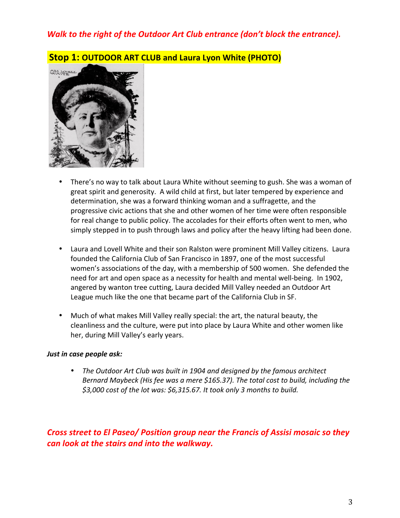### *Walk to the right of the Outdoor Art Club entrance (don't block the entrance).*



#### **Stop 1: OUTDOOR ART CLUB and Laura Lyon White (PHOTO)**

- There's no way to talk about Laura White without seeming to gush. She was a woman of great spirit and generosity. A wild child at first, but later tempered by experience and determination, she was a forward thinking woman and a suffragette, and the progressive civic actions that she and other women of her time were often responsible for real change to public policy. The accolades for their efforts often went to men, who simply stepped in to push through laws and policy after the heavy lifting had been done.
- Laura and Lovell White and their son Ralston were prominent Mill Valley citizens. Laura founded the California Club of San Francisco in 1897, one of the most successful women's associations of the day, with a membership of 500 women. She defended the need for art and open space as a necessity for health and mental well-being. In 1902, angered by wanton tree cutting, Laura decided Mill Valley needed an Outdoor Art League much like the one that became part of the California Club in SF.
- Much of what makes Mill Valley really special: the art, the natural beauty, the cleanliness and the culture, were put into place by Laura White and other women like her, during Mill Valley's early years.

#### *Just in case people ask:*

• The Outdoor Art Club was built in 1904 and designed by the famous architect *Bernard Maybeck (His fee was a mere \$165.37). The total cost to build, including the \$3,000 cost of the lot was: \$6,315.67. It took only 3 months to build.* 

*Cross street to El Paseo/ Position group near the Francis of Assisi mosaic so they can look at the stairs and into the walkway.*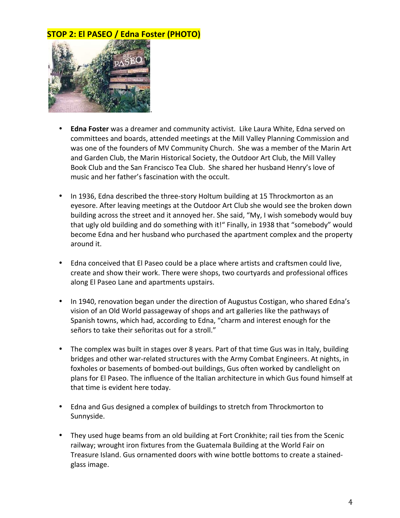### **STOP 2: El PASEO / Edna Foster (PHOTO)**



- **Edna Foster** was a dreamer and community activist. Like Laura White, Edna served on committees and boards, attended meetings at the Mill Valley Planning Commission and was one of the founders of MV Community Church. She was a member of the Marin Art and Garden Club, the Marin Historical Society, the Outdoor Art Club, the Mill Valley Book Club and the San Francisco Tea Club. She shared her husband Henry's love of music and her father's fascination with the occult.
- In 1936, Edna described the three-story Holtum building at 15 Throckmorton as an eyesore. After leaving meetings at the Outdoor Art Club she would see the broken down building across the street and it annoyed her. She said, "My, I wish somebody would buy that ugly old building and do something with it!" Finally, in 1938 that "somebody" would become Edna and her husband who purchased the apartment complex and the property around it.
- Edna conceived that El Paseo could be a place where artists and craftsmen could live, create and show their work. There were shops, two courtyards and professional offices along El Paseo Lane and apartments upstairs.
- In 1940, renovation began under the direction of Augustus Costigan, who shared Edna's vision of an Old World passageway of shops and art galleries like the pathways of Spanish towns, which had, according to Edna, "charm and interest enough for the señors to take their señoritas out for a stroll."
- The complex was built in stages over 8 years. Part of that time Gus was in Italy, building bridges and other war-related structures with the Army Combat Engineers. At nights, in foxholes or basements of bombed-out buildings, Gus often worked by candlelight on plans for El Paseo. The influence of the Italian architecture in which Gus found himself at that time is evident here today.
- Edna and Gus designed a complex of buildings to stretch from Throckmorton to Sunnyside.
- They used huge beams from an old building at Fort Cronkhite; rail ties from the Scenic railway; wrought iron fixtures from the Guatemala Building at the World Fair on Treasure Island. Gus ornamented doors with wine bottle bottoms to create a stainedglass image.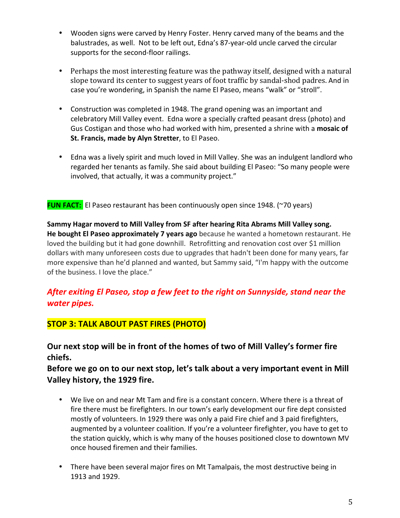- Wooden signs were carved by Henry Foster. Henry carved many of the beams and the balustrades, as well. Not to be left out, Edna's 87-year-old uncle carved the circular supports for the second-floor railings.
- Perhaps the most interesting feature was the pathway itself, designed with a natural slope toward its center to suggest years of foot traffic by sandal-shod padres. And in case you're wondering, in Spanish the name El Paseo, means "walk" or "stroll".
- Construction was completed in 1948. The grand opening was an important and celebratory Mill Valley event. Edna wore a specially crafted peasant dress (photo) and Gus Costigan and those who had worked with him, presented a shrine with a mosaic of **St. Francis, made by Alyn Stretter**, to El Paseo.
- Edna was a lively spirit and much loved in Mill Valley. She was an indulgent landlord who regarded her tenants as family. She said about building El Paseo: "So many people were involved, that actually, it was a community project."

**FUN FACT:** El Paseo restaurant has been continuously open since 1948. (~70 years)

Sammy Hagar moverd to Mill Valley from SF after hearing Rita Abrams Mill Valley song. He bought El Paseo approximately 7 years ago because he wanted a hometown restaurant. He loved the building but it had gone downhill. Retrofitting and renovation cost over \$1 million dollars with many unforeseen costs due to upgrades that hadn't been done for many years, far more expensive than he'd planned and wanted, but Sammy said, "I'm happy with the outcome of the business. I love the place."

### After exiting El Paseo, stop a few feet to the right on Sunnyside, stand near the *water pipes.*

#### **STOP 3: TALK ABOUT PAST FIRES (PHOTO)**

Our next stop will be in front of the homes of two of Mill Valley's former fire **chiefs.** 

Before we go on to our next stop, let's talk about a very important event in Mill **Valley history, the 1929 fire.**

- We live on and near Mt Tam and fire is a constant concern. Where there is a threat of fire there must be firefighters. In our town's early development our fire dept consisted mostly of volunteers. In 1929 there was only a paid Fire chief and 3 paid firefighters, augmented by a volunteer coalition. If you're a volunteer firefighter, you have to get to the station quickly, which is why many of the houses positioned close to downtown MV once housed firemen and their families.
- There have been several major fires on Mt Tamalpais, the most destructive being in 1913 and 1929.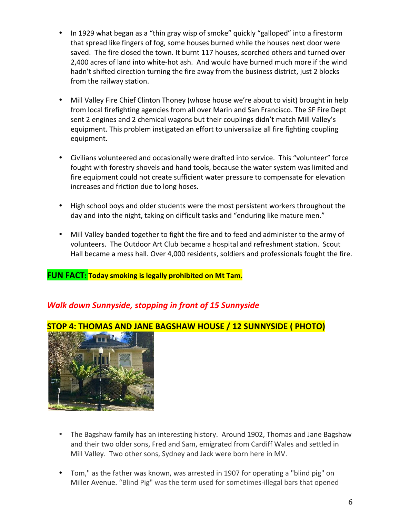- In 1929 what began as a "thin gray wisp of smoke" quickly "galloped" into a firestorm that spread like fingers of fog, some houses burned while the houses next door were saved. The fire closed the town. It burnt 117 houses, scorched others and turned over 2,400 acres of land into white-hot ash. And would have burned much more if the wind hadn't shifted direction turning the fire away from the business district, just 2 blocks from the railway station.
- Mill Valley Fire Chief Clinton Thoney (whose house we're about to visit) brought in help from local firefighting agencies from all over Marin and San Francisco. The SF Fire Dept sent 2 engines and 2 chemical wagons but their couplings didn't match Mill Valley's equipment. This problem instigated an effort to universalize all fire fighting coupling equipment.
- Civilians volunteered and occasionally were drafted into service. This "volunteer" force fought with forestry shovels and hand tools, because the water system was limited and fire equipment could not create sufficient water pressure to compensate for elevation increases and friction due to long hoses.
- High school boys and older students were the most persistent workers throughout the day and into the night, taking on difficult tasks and "enduring like mature men."
- Mill Valley banded together to fight the fire and to feed and administer to the army of volunteers. The Outdoor Art Club became a hospital and refreshment station. Scout Hall became a mess hall. Over 4,000 residents, soldiers and professionals fought the fire.

#### **FUN FACT: Today smoking is legally prohibited on Mt Tam.**

### *Walk down Sunnyside, stopping in front of 15 Sunnyside*



### **STOP 4: THOMAS AND JANE BAGSHAW HOUSE / 12 SUNNYSIDE ( PHOTO)**

- The Bagshaw family has an interesting history. Around 1902, Thomas and Jane Bagshaw and their two older sons, Fred and Sam, emigrated from Cardiff Wales and settled in Mill Valley. Two other sons, Sydney and Jack were born here in MV.
- Tom," as the father was known, was arrested in 1907 for operating a "blind pig" on Miller Avenue. "Blind Pig" was the term used for sometimes-illegal bars that opened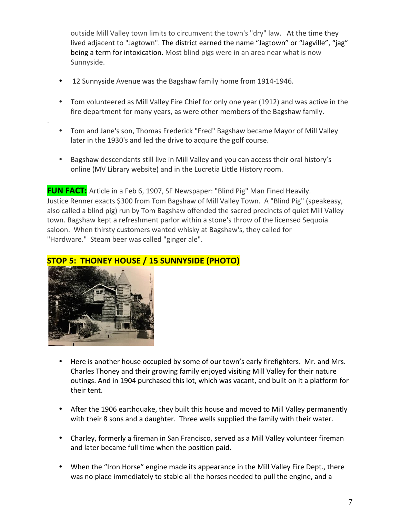outside Mill Valley town limits to circumvent the town's "dry" law. At the time they lived adjacent to "Jagtown". The district earned the name "Jagtown" or "Jagville", "jag" being a term for intoxication. Most blind pigs were in an area near what is now Sunnyside.

- 12 Sunnyside Avenue was the Bagshaw family home from 1914-1946.
- Tom volunteered as Mill Valley Fire Chief for only one year (1912) and was active in the fire department for many years, as were other members of the Bagshaw family.
- Tom and Jane's son, Thomas Frederick "Fred" Bagshaw became Mayor of Mill Valley later in the 1930's and led the drive to acquire the golf course.
- Bagshaw descendants still live in Mill Valley and you can access their oral history's online (MV Library website) and in the Lucretia Little History room.

FUN FACT: Article in a Feb 6, 1907, SF Newspaper: "Blind Pig" Man Fined Heavily. Justice Renner exacts \$300 from Tom Bagshaw of Mill Valley Town. A "Blind Pig" (speakeasy, also called a blind pig) run by Tom Bagshaw offended the sacred precincts of quiet Mill Valley town. Bagshaw kept a refreshment parlor within a stone's throw of the licensed Sequoia saloon. When thirsty customers wanted whisky at Bagshaw's, they called for "Hardware." Steam beer was called "ginger ale".



.

### **STOP 5: THONEY HOUSE / 15 SUNNYSIDE (PHOTO)**

- Here is another house occupied by some of our town's early firefighters. Mr. and Mrs. Charles Thoney and their growing family enjoyed visiting Mill Valley for their nature outings. And in 1904 purchased this lot, which was vacant, and built on it a platform for their tent.
- After the 1906 earthquake, they built this house and moved to Mill Valley permanently with their 8 sons and a daughter. Three wells supplied the family with their water.
- Charley, formerly a fireman in San Francisco, served as a Mill Valley volunteer fireman and later became full time when the position paid.
- When the "Iron Horse" engine made its appearance in the Mill Valley Fire Dept., there was no place immediately to stable all the horses needed to pull the engine, and a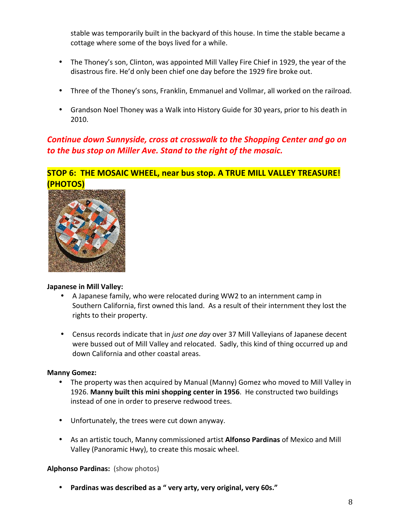stable was temporarily built in the backyard of this house. In time the stable became a cottage where some of the boys lived for a while.

- The Thoney's son, Clinton, was appointed Mill Valley Fire Chief in 1929, the year of the disastrous fire. He'd only been chief one day before the 1929 fire broke out.
- Three of the Thoney's sons, Franklin, Emmanuel and Vollmar, all worked on the railroad.
- Grandson Noel Thoney was a Walk into History Guide for 30 years, prior to his death in 2010.

### **Continue down Sunnyside, cross at crosswalk to the Shopping Center and go on** *to the bus stop on Miller Ave. Stand to the right of the mosaic.*

#### **STOP 6: THE MOSAIC WHEEL, near bus stop. A TRUE MILL VALLEY TREASURE! (PHOTOS)**



#### **Japanese in Mill Valley:**

- A Japanese family, who were relocated during WW2 to an internment camp in Southern California, first owned this land. As a result of their internment they lost the rights to their property.
- Census records indicate that in *just one day* over 37 Mill Valleyians of Japanese decent were bussed out of Mill Valley and relocated. Sadly, this kind of thing occurred up and down California and other coastal areas.

#### **Manny Gomez:**

- The property was then acquired by Manual (Manny) Gomez who moved to Mill Valley in 1926. Manny built this mini shopping center in 1956. He constructed two buildings instead of one in order to preserve redwood trees.
- Unfortunately, the trees were cut down anyway.
- As an artistic touch, Manny commissioned artist **Alfonso Pardinas** of Mexico and Mill Valley (Panoramic Hwy), to create this mosaic wheel.

#### **Alphonso Pardinas:** (show photos)

• Pardinas was described as a " very arty, very original, very 60s."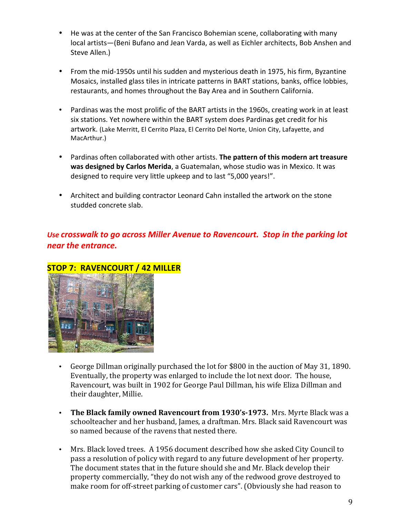- He was at the center of the San Francisco Bohemian scene, collaborating with many local artists-(Beni Bufano and Jean Varda, as well as Eichler architects, Bob Anshen and Steve Allen.)
- From the mid-1950s until his sudden and mysterious death in 1975, his firm, Byzantine Mosaics, installed glass tiles in intricate patterns in BART stations, banks, office lobbies, restaurants, and homes throughout the Bay Area and in Southern California.
- Pardinas was the most prolific of the BART artists in the 1960s, creating work in at least six stations. Yet nowhere within the BART system does Pardinas get credit for his artwork. (Lake Merritt, El Cerrito Plaza, El Cerrito Del Norte, Union City, Lafayette, and MacArthur.)
- Pardinas often collaborated with other artists. **The pattern of this modern art treasure was designed by Carlos Merida**, a Guatemalan, whose studio was in Mexico. It was designed to require very little upkeep and to last "5,000 years!".
- Architect and building contractor Leonard Cahn installed the artwork on the stone studded concrete slab.

### Use crosswalk to go across Miller Avenue to Ravencourt. Stop in the parking lot *near the entrance.*



#### **STOP 7: RAVENCOURT / 42 MILLER**

- George Dillman originally purchased the lot for \$800 in the auction of May 31, 1890. Eventually, the property was enlarged to include the lot next door. The house, Ravencourt, was built in 1902 for George Paul Dillman, his wife Eliza Dillman and their daughter, Millie.
- The Black family owned Ravencourt from 1930's-1973. Mrs. Myrte Black was a schoolteacher and her husband, James, a draftman, Mrs. Black said Ravencourt was so named because of the ravens that nested there.
- Mrs. Black loved trees. A 1956 document described how she asked City Council to pass a resolution of policy with regard to any future development of her property. The document states that in the future should she and Mr. Black develop their property commercially, "they do not wish any of the redwood grove destroyed to make room for off-street parking of customer cars". (Obviously she had reason to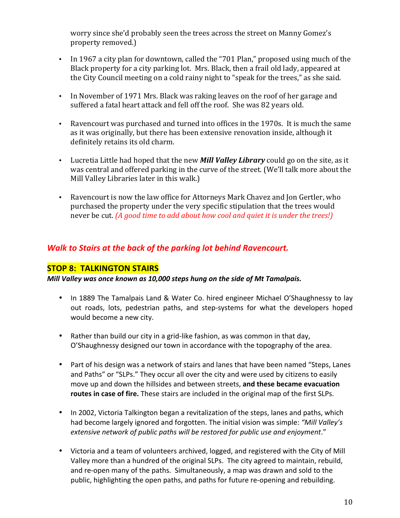worry since she'd probably seen the trees across the street on Manny Gomez's property removed.)

- In 1967 a city plan for downtown, called the "701 Plan," proposed using much of the Black property for a city parking lot. Mrs. Black, then a frail old lady, appeared at the City Council meeting on a cold rainy night to "speak for the trees," as she said.
- In November of 1971 Mrs. Black was raking leaves on the roof of her garage and suffered a fatal heart attack and fell off the roof. She was 82 years old.
- Ravencourt was purchased and turned into offices in the 1970s. It is much the same as it was originally, but there has been extensive renovation inside, although it definitely retains its old charm.
- Lucretia Little had hoped that the new *Mill Valley Library* could go on the site, as it was central and offered parking in the curve of the street. (We'll talk more about the Mill Valley Libraries later in this walk.)
- Ravencourt is now the law office for Attorneys Mark Chavez and Jon Gertler, who purchased the property under the very specific stipulation that the trees would never be cut. *(A good time to add about how cool and quiet it is under the trees!)*

### *Walk to Stairs at the back of the parking lot behind Ravencourt.*

#### **STOP 8: TALKINGTON STAIRS**

*Mill* Valley was once known as 10,000 steps hung on the side of Mt Tamalpais.

- In 1889 The Tamalpais Land & Water Co. hired engineer Michael O'Shaughnessy to lay out roads, lots, pedestrian paths, and step-systems for what the developers hoped would become a new city.
- Rather than build our city in a grid-like fashion, as was common in that day, O'Shaughnessy designed our town in accordance with the topography of the area.
- Part of his design was a network of stairs and lanes that have been named "Steps, Lanes and Paths" or "SLPs." They occur all over the city and were used by citizens to easily move up and down the hillsides and between streets, and these became evacuation **routes in case of fire.** These stairs are included in the original map of the first SLPs.
- In 2002, Victoria Talkington began a revitalization of the steps, lanes and paths, which had become largely ignored and forgotten. The initial vision was simple: "Mill Valley's extensive network of public paths will be restored for public use and enjoyment."
- Victoria and a team of volunteers archived, logged, and registered with the City of Mill Valley more than a hundred of the original SLPs. The city agreed to maintain, rebuild, and re-open many of the paths. Simultaneously, a map was drawn and sold to the public, highlighting the open paths, and paths for future re-opening and rebuilding.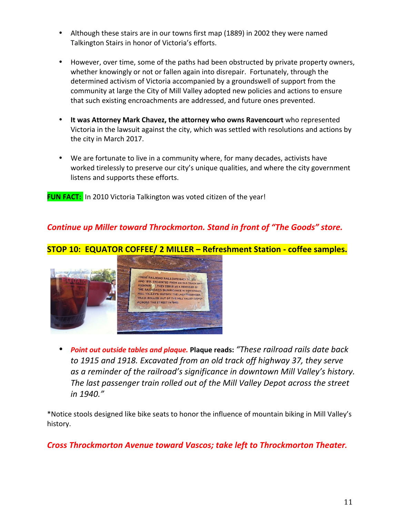- Although these stairs are in our towns first map (1889) in 2002 they were named Talkington Stairs in honor of Victoria's efforts.
- However, over time, some of the paths had been obstructed by private property owners, whether knowingly or not or fallen again into disrepair. Fortunately, through the determined activism of Victoria accompanied by a groundswell of support from the community at large the City of Mill Valley adopted new policies and actions to ensure that such existing encroachments are addressed, and future ones prevented.
- It was Attorney Mark Chavez, the attorney who owns Ravencourt who represented Victoria in the lawsuit against the city, which was settled with resolutions and actions by the city in March 2017.
- We are fortunate to live in a community where, for many decades, activists have worked tirelessly to preserve our city's unique qualities, and where the city government listens and supports these efforts.

**FUN FACT:** In 2010 Victoria Talkington was voted citizen of the year!

### **Continue up Miller toward Throckmorton. Stand in front of "The Goods" store.**

### **STOP 10: EQUATOR COFFEE/ 2 MILLER – Refreshment Station - coffee samples.**



*Point out outside tables and plaque.* **Plaque reads: "These railroad rails date back** to 1915 and 1918. Excavated from an old track off highway 37, they serve as a reminder of the railroad's significance in downtown Mill Valley's history. The last passenger train rolled out of the Mill Valley Depot across the street *in 1940."*

\*Notice stools designed like bike seats to honor the influence of mountain biking in Mill Valley's history. 

### **Cross Throckmorton Avenue toward Vascos; take left to Throckmorton Theater.**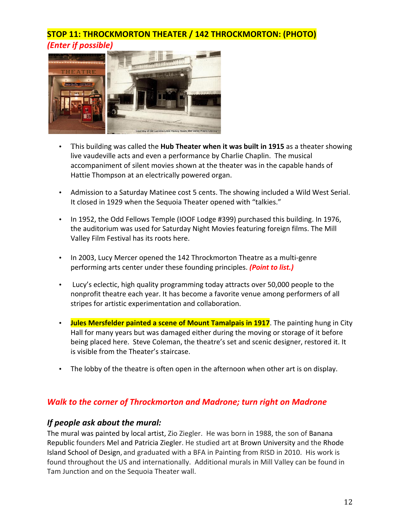### **STOP 11: THROCKMORTON THEATER / 142 THROCKMORTON: (PHOTO) (Enter if possible)**



- This building was called the **Hub Theater when it was built in 1915** as a theater showing live vaudeville acts and even a performance by Charlie Chaplin. The musical accompaniment of silent movies shown at the theater was in the capable hands of Hattie Thompson at an electrically powered organ.
- Admission to a Saturday Matinee cost 5 cents. The showing included a Wild West Serial. It closed in 1929 when the Sequoia Theater opened with "talkies."
- In 1952, the Odd Fellows Temple (IOOF Lodge #399) purchased this building. In 1976, the auditorium was used for Saturday Night Movies featuring foreign films. The Mill Valley Film Festival has its roots here.
- In 2003, Lucy Mercer opened the 142 Throckmorton Theatre as a multi-genre performing arts center under these founding principles. *(Point to list.)*
- Lucy's eclectic, high quality programming today attracts over 50,000 people to the nonprofit theatre each year. It has become a favorite venue among performers of all stripes for artistic experimentation and collaboration.
- **Jules Mersfelder painted a scene of Mount Tamalpais in 1917**. The painting hung in City Hall for many years but was damaged either during the moving or storage of it before being placed here. Steve Coleman, the theatre's set and scenic designer, restored it. It is visible from the Theater's staircase.
- The lobby of the theatre is often open in the afternoon when other art is on display.

### *Walk to the corner of Throckmorton and Madrone; turn right on Madrone*

#### *If people ask about the mural:*

The mural was painted by local artist, Zio Ziegler. He was born in 1988, the son of Banana Republic founders Mel and Patricia Ziegler. He studied art at Brown University and the Rhode Island School of Design, and graduated with a BFA in Painting from RISD in 2010. His work is found throughout the US and internationally. Additional murals in Mill Valley can be found in Tam Junction and on the Sequoia Theater wall.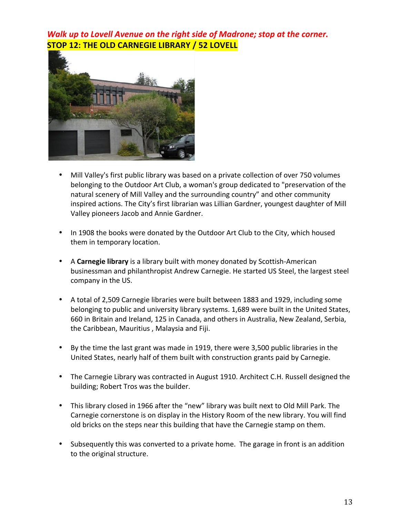*Walk up to Lovell Avenue on the right side of Madrone; stop at the corner.* **STOP 12: THE OLD CARNEGIE LIBRARY / 52 LOVELL**



- Mill Valley's first public library was based on a private collection of over 750 volumes belonging to the Outdoor Art Club, a woman's group dedicated to "preservation of the natural scenery of Mill Valley and the surrounding country" and other community inspired actions. The City's first librarian was Lillian Gardner, youngest daughter of Mill Valley pioneers Jacob and Annie Gardner.
- In 1908 the books were donated by the Outdoor Art Club to the City, which housed them in temporary location.
- A **Carnegie library** is a library built with money donated by Scottish-American businessman and philanthropist Andrew Carnegie. He started US Steel, the largest steel company in the US.
- A total of 2,509 Carnegie libraries were built between 1883 and 1929, including some belonging to public and university library systems. 1,689 were built in the United States, 660 in Britain and Ireland, 125 in Canada, and others in Australia, New Zealand, Serbia, the Caribbean, Mauritius, Malaysia and Fiji.
- By the time the last grant was made in 1919, there were 3,500 public libraries in the United States, nearly half of them built with construction grants paid by Carnegie.
- The Carnegie Library was contracted in August 1910. Architect C.H. Russell designed the building; Robert Tros was the builder.
- This library closed in 1966 after the "new" library was built next to Old Mill Park. The Carnegie cornerstone is on display in the History Room of the new library. You will find old bricks on the steps near this building that have the Carnegie stamp on them.
- Subsequently this was converted to a private home. The garage in front is an addition to the original structure.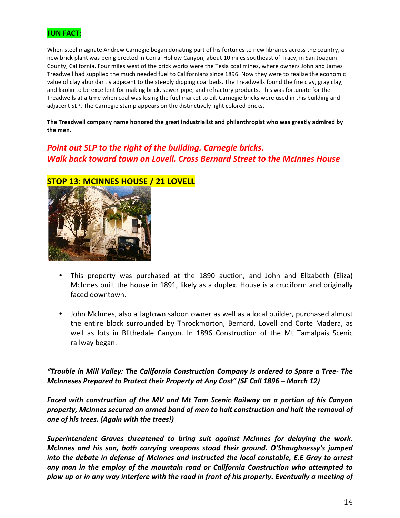

When steel magnate Andrew Carnegie began donating part of his fortunes to new libraries across the country, a new brick plant was being erected in Corral Hollow Canyon, about 10 miles southeast of Tracy, in San Joaquin County, California. Four miles west of the brick works were the Tesla coal mines, where owners John and James Treadwell had supplied the much needed fuel to Californians since 1896. Now they were to realize the economic value of clay abundantly adjacent to the steeply dipping coal beds. The Treadwells found the fire clay, gray clay, and kaolin to be excellent for making brick, sewer-pipe, and refractory products. This was fortunate for the Treadwells at a time when coal was losing the fuel market to oil. Carnegie bricks were used in this building and adjacent SLP. The Carnegie stamp appears on the distinctively light colored bricks.

The Treadwell company name honored the great industrialist and philanthropist who was greatly admired by the men.

### *Point out SLP to the right of the building. Carnegie bricks. Walk back toward town on Lovell. Cross Bernard Street to the McInnes House*



# **STOP 13: MCINNES HOUSE / 21 LOVELL**

- This property was purchased at the 1890 auction, and John and Elizabeth (Eliza) McInnes built the house in 1891, likely as a duplex. House is a cruciform and originally faced downtown.
- John McInnes, also a Jagtown saloon owner as well as a local builder, purchased almost the entire block surrounded by Throckmorton, Bernard, Lovell and Corte Madera, as well as lots in Blithedale Canyon. In 1896 Construction of the Mt Tamalpais Scenic railway began.

"Trouble in Mill Valley: The California Construction Company Is ordered to Spare a Tree- The *McInneses Prepared to Protect their Property at Any Cost" (SF Call 1896 – March 12)* 

*Faced* with construction of the MV and Mt Tam Scenic Railway on a portion of his Canyon property, McInnes secured an armed band of men to halt construction and halt the removal of *one of his trees. (Again with the trees!)* 

Superintendent Graves threatened to bring suit against McInnes for delaying the work. *McInnes* and *his son, both carrying weapons stood their ground. O'Shaughnessy's jumped into* the debate in defense of McInnes and instructed the local constable, E.E Gray to arrest any man in the employ of the mountain road or California Construction who attempted to plow up or in any way interfere with the road in front of his property. Eventually a meeting of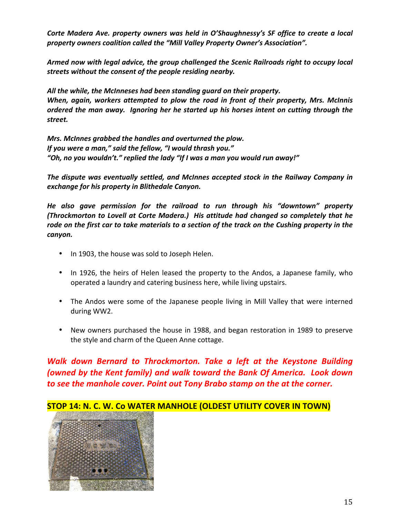Corte Madera Ave. property owners was held in O'Shaughnessy's SF office to create a local property owners coalition called the "Mill Valley Property Owner's Association".

*Armed now with legal advice, the group challenged the Scenic Railroads right to occupy local* streets without the consent of the people residing nearby.

All the while, the McInneses had been standing quard on their property. *When, again, workers attempted to plow the road in front of their property, Mrs. McInnis ordered the man away.* Ignoring her he started up his horses intent on cutting through the *street.* 

*Mrs. McInnes grabbed the handles and overturned the plow.* If you were a man," said the fellow, "I would thrash you." "Oh, no you wouldn't." replied the lady "If I was a man you would run away!"

The dispute was eventually settled, and McInnes accepted stock in the Railway Company in exchange for his property in Blithedale Canyon.

*He also gave permission for the railroad to run through his "downtown" property (Throckmorton to Lovell at Corte Madera.) His attitude had changed so completely that he* rode on the first car to take materials to a section of the track on the Cushing property in the *canyon.*

- In 1903, the house was sold to Joseph Helen.
- In 1926, the heirs of Helen leased the property to the Andos, a Japanese family, who operated a laundry and catering business here, while living upstairs.
- The Andos were some of the Japanese people living in Mill Valley that were interned during WW2.
- New owners purchased the house in 1988, and began restoration in 1989 to preserve the style and charm of the Queen Anne cottage.

*Walk down Bernard to Throckmorton. Take a left at the Keystone Building (owned by the Kent family) and walk toward the Bank Of America. Look down to* see the manhole cover. Point out Tony Brabo stamp on the at the corner.



### **STOP 14: N. C. W. Co WATER MANHOLE (OLDEST UTILITY COVER IN TOWN)**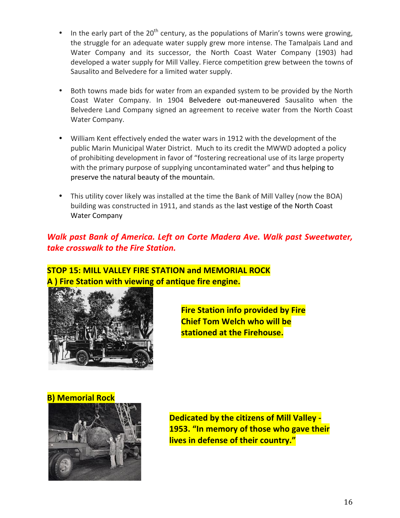- In the early part of the 20<sup>th</sup> century, as the populations of Marin's towns were growing, the struggle for an adequate water supply grew more intense. The Tamalpais Land and Water Company and its successor, the North Coast Water Company (1903) had developed a water supply for Mill Valley. Fierce competition grew between the towns of Sausalito and Belvedere for a limited water supply.
- Both towns made bids for water from an expanded system to be provided by the North Coast Water Company. In 1904 Belvedere out-maneuvered Sausalito when the Belvedere Land Company signed an agreement to receive water from the North Coast Water Company.
- William Kent effectively ended the water wars in 1912 with the development of the public Marin Municipal Water District. Much to its credit the MWWD adopted a policy of prohibiting development in favor of "fostering recreational use of its large property with the primary purpose of supplying uncontaminated water" and thus helping to preserve the natural beauty of the mountain.
- This utility cover likely was installed at the time the Bank of Mill Valley (now the BOA) building was constructed in 1911, and stands as the last vestige of the North Coast Water Company

### *Walk past Bank of America. Left on Corte Madera Ave. Walk past Sweetwater,* **take crosswalk to the Fire Station.**

### **STOP 15: MILL VALLEY FIRE STATION and MEMORIAL ROCK A** ) Fire Station with viewing of antique fire engine.



**Fire Station info provided by Fire Chief Tom Welch who will be stationed at the Firehouse.** 

**B) Memorial Rock** 



**Dedicated by the citizens of Mill Valley -1953. "In memory of those who gave their lives in defense of their country."**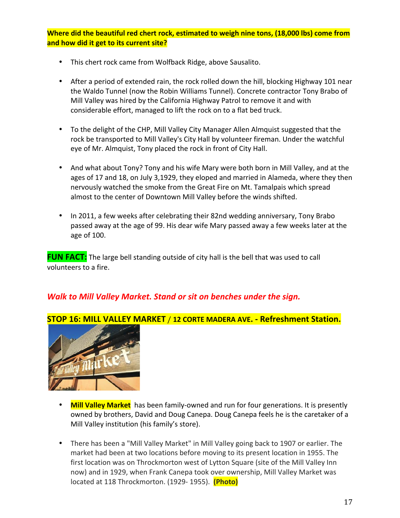**Where did the beautiful red chert rock, estimated to weigh nine tons, (18,000 lbs) come from and how did it get to its current site?** 

- This chert rock came from Wolfback Ridge, above Sausalito.
- After a period of extended rain, the rock rolled down the hill, blocking Highway 101 near the Waldo Tunnel (now the Robin Williams Tunnel). Concrete contractor Tony Brabo of Mill Valley was hired by the California Highway Patrol to remove it and with considerable effort, managed to lift the rock on to a flat bed truck.
- To the delight of the CHP, Mill Valley City Manager Allen Almquist suggested that the rock be transported to Mill Valley's City Hall by volunteer fireman. Under the watchful eye of Mr. Almquist, Tony placed the rock in front of City Hall.
- And what about Tony? Tony and his wife Mary were both born in Mill Valley, and at the ages of 17 and 18, on July 3,1929, they eloped and married in Alameda, where they then nervously watched the smoke from the Great Fire on Mt. Tamalpais which spread almost to the center of Downtown Mill Valley before the winds shifted.
- In 2011, a few weeks after celebrating their 82nd wedding anniversary, Tony Brabo passed away at the age of 99. His dear wife Mary passed away a few weeks later at the age of 100.

**FUN FACT:** The large bell standing outside of city hall is the bell that was used to call volunteers to a fire.

### **Walk to Mill Valley Market. Stand or sit on benches under the sign.**



#### **STOP 16: MILL VALLEY MARKET** / 12 CORTE MADERA AVE. - Refreshment Station.

- **Mill Valley Market** has been family-owned and run for four generations. It is presently owned by brothers, David and Doug Canepa. Doug Canepa feels he is the caretaker of a Mill Valley institution (his family's store).
- There has been a "Mill Valley Market" in Mill Valley going back to 1907 or earlier. The market had been at two locations before moving to its present location in 1955. The first location was on Throckmorton west of Lytton Square (site of the Mill Valley Inn now) and in 1929, when Frank Canepa took over ownership, Mill Valley Market was located at 118 Throckmorton. (1929- 1955). **(Photo)**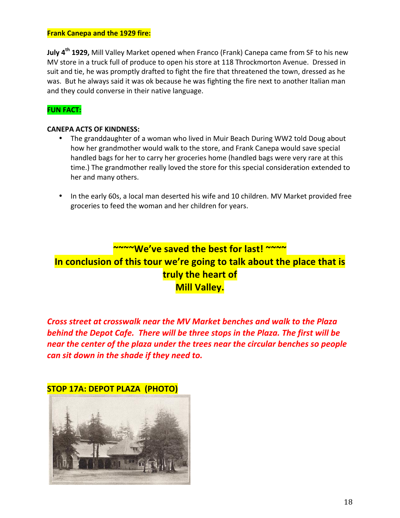#### **Frank Canepa and the 1929 fire:**

**July 4<sup>th</sup> 1929,** Mill Valley Market opened when Franco (Frank) Canepa came from SF to his new MV store in a truck full of produce to open his store at 118 Throckmorton Avenue. Dressed in suit and tie, he was promptly drafted to fight the fire that threatened the town, dressed as he was. But he always said it was ok because he was fighting the fire next to another Italian man and they could converse in their native language.

#### **FUN FACT:**

#### **CANEPA ACTS OF KINDNESS:**

- The granddaughter of a woman who lived in Muir Beach During WW2 told Doug about how her grandmother would walk to the store, and Frank Canepa would save special handled bags for her to carry her groceries home (handled bags were very rare at this time.) The grandmother really loved the store for this special consideration extended to her and many others.
- In the early 60s, a local man deserted his wife and 10 children. MV Market provided free groceries to feed the woman and her children for years.

# **~~~~We've saved the best for last! ~~~~** In conclusion of this tour we're going to talk about the place that is **truly the heart of Mill Valley.**

*Cross street at crosswalk near the MV Market benches and walk to the Plaza behind the Depot Cafe. There will be three stops in the Plaza. The first will be near* the center of the plaza under the trees near the circular benches so people *can sit down in the shade if they need to.* 

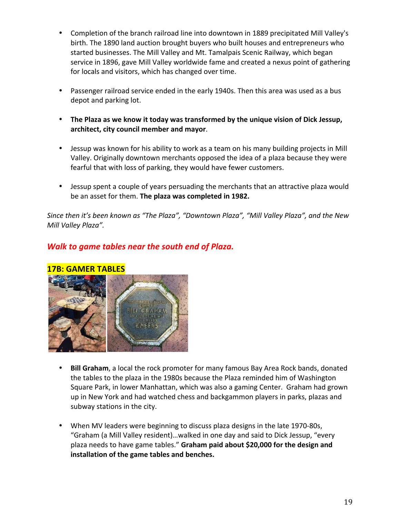- Completion of the branch railroad line into downtown in 1889 precipitated Mill Valley's birth. The 1890 land auction brought buyers who built houses and entrepreneurs who started businesses. The Mill Valley and Mt. Tamalpais Scenic Railway, which began service in 1896, gave Mill Valley worldwide fame and created a nexus point of gathering for locals and visitors, which has changed over time.
- Passenger railroad service ended in the early 1940s. Then this area was used as a bus depot and parking lot.
- The Plaza as we know it today was transformed by the unique vision of Dick Jessup, **architect, city council member and mayor**.
- Jessup was known for his ability to work as a team on his many building projects in Mill Valley. Originally downtown merchants opposed the idea of a plaza because they were fearful that with loss of parking, they would have fewer customers.
- Jessup spent a couple of years persuading the merchants that an attractive plaza would be an asset for them. The plaza was completed in 1982.

*Since then it's been known as "The Plaza", "Downtown Plaza", "Mill Valley Plaza", and the New Mill Valley Plaza".*

### *Walk to game tables near the south end of Plaza.*

#### **17B: GAMER TABLES**



- **Bill Graham**, a local the rock promoter for many famous Bay Area Rock bands, donated the tables to the plaza in the 1980s because the Plaza reminded him of Washington Square Park, in lower Manhattan, which was also a gaming Center. Graham had grown up in New York and had watched chess and backgammon players in parks, plazas and subway stations in the city.
- When MV leaders were beginning to discuss plaza designs in the late 1970-80s, "Graham (a Mill Valley resident)...walked in one day and said to Dick Jessup, "every plaza needs to have game tables." Graham paid about \$20,000 for the design and **installation of the game tables and benches.**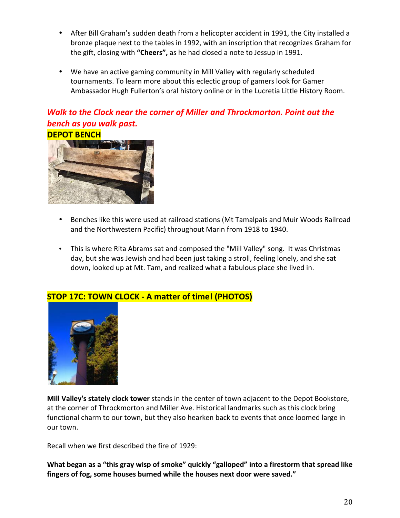- After Bill Graham's sudden death from a helicopter accident in 1991, the City installed a bronze plaque next to the tables in 1992, with an inscription that recognizes Graham for the gift, closing with "Cheers", as he had closed a note to Jessup in 1991.
- We have an active gaming community in Mill Valley with regularly scheduled tournaments. To learn more about this eclectic group of gamers look for Gamer Ambassador Hugh Fullerton's oral history online or in the Lucretia Little History Room.

## **Walk to the Clock near the corner of Miller and Throckmorton. Point out the bench** as you walk past.



- Benches like this were used at railroad stations (Mt Tamalpais and Muir Woods Railroad and the Northwestern Pacific) throughout Marin from 1918 to 1940.
- This is where Rita Abrams sat and composed the "Mill Valley" song. It was Christmas day, but she was Jewish and had been just taking a stroll, feeling lonely, and she sat down, looked up at Mt. Tam, and realized what a fabulous place she lived in.



### **STOP 17C: TOWN CLOCK - A matter of time! (PHOTOS)**

**Mill Valley's stately clock tower** stands in the center of town adjacent to the Depot Bookstore, at the corner of Throckmorton and Miller Ave. Historical landmarks such as this clock bring functional charm to our town, but they also hearken back to events that once loomed large in our town.

Recall when we first described the fire of 1929:

What began as a "this gray wisp of smoke" quickly "galloped" into a firestorm that spread like fingers of fog, some houses burned while the houses next door were saved."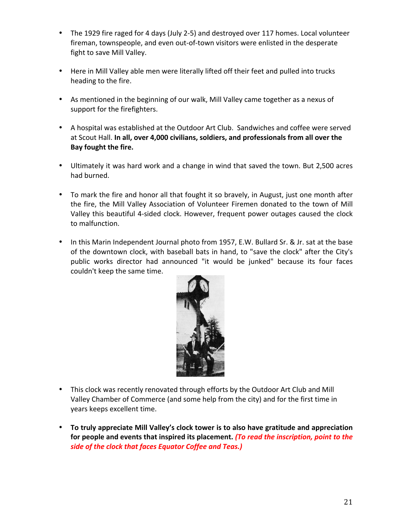- The 1929 fire raged for 4 days (July 2-5) and destroyed over 117 homes. Local volunteer fireman, townspeople, and even out-of-town visitors were enlisted in the desperate fight to save Mill Valley.
- Here in Mill Valley able men were literally lifted off their feet and pulled into trucks heading to the fire.
- As mentioned in the beginning of our walk, Mill Valley came together as a nexus of support for the firefighters.
- A hospital was established at the Outdoor Art Club. Sandwiches and coffee were served at Scout Hall. In all, over 4,000 civilians, soldiers, and professionals from all over the Bay fought the fire.
- Ultimately it was hard work and a change in wind that saved the town. But 2,500 acres had burned.
- To mark the fire and honor all that fought it so bravely, in August, just one month after the fire, the Mill Valley Association of Volunteer Firemen donated to the town of Mill Valley this beautiful 4-sided clock. However, frequent power outages caused the clock to malfunction.
- In this Marin Independent Journal photo from 1957, E.W. Bullard Sr. & Jr. sat at the base of the downtown clock, with baseball bats in hand, to "save the clock" after the City's public works director had announced "it would be junked" because its four faces couldn't keep the same time.



- This clock was recently renovated through efforts by the Outdoor Art Club and Mill Valley Chamber of Commerce (and some help from the city) and for the first time in years keeps excellent time.
- To truly appreciate Mill Valley's clock tower is to also have gratitude and appreciation for people and events that inspired its placement. (To read the inscription, point to the side of the clock that faces Equator Coffee and Teas.)